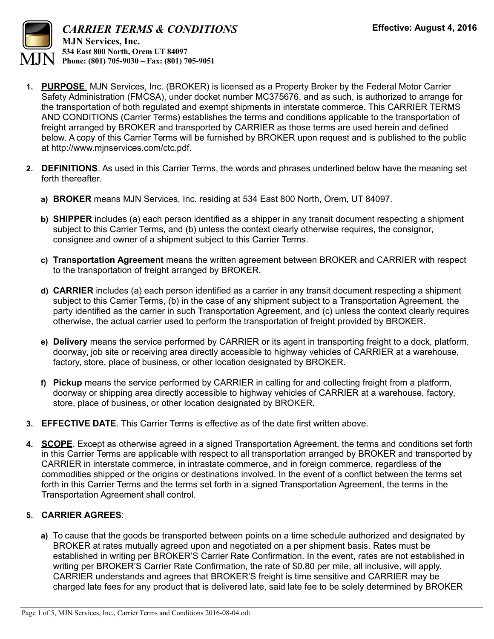

- **1. PURPOSE**. MJN Services, Inc. (BROKER) is licensed as a Property Broker by the Federal Motor Carrier Safety Administration (FMCSA), under docket number MC375676, and as such, is authorized to arrange for the transportation of both regulated and exempt shipments in interstate commerce. This CARRIER TERMS AND CONDITIONS (Carrier Terms) establishes the terms and conditions applicable to the transportation of freight arranged by BROKER and transported by CARRIER as those terms are used herein and defined below. A copy of this Carrier Terms will be furnished by BROKER upon request and is published to the public at http://www.mjnservices.com/ctc.pdf.
- **2. DEFINITIONS**. As used in this Carrier Terms, the words and phrases underlined below have the meaning set forth thereafter.
	- **a) BROKER** means MJN Services, Inc. residing at 534 East 800 North, Orem, UT 84097.
	- **b) SHIPPER** includes (a) each person identified as a shipper in any transit document respecting a shipment subject to this Carrier Terms, and (b) unless the context clearly otherwise requires, the consignor, consignee and owner of a shipment subject to this Carrier Terms.
	- **c) Transportation Agreement** means the written agreement between BROKER and CARRIER with respect to the transportation of freight arranged by BROKER.
	- **d) CARRIER** includes (a) each person identified as a carrier in any transit document respecting a shipment subject to this Carrier Terms, (b) in the case of any shipment subject to a Transportation Agreement, the party identified as the carrier in such Transportation Agreement, and (c) unless the context clearly requires otherwise, the actual carrier used to perform the transportation of freight provided by BROKER.
	- **e) Delivery** means the service performed by CARRIER or its agent in transporting freight to a dock, platform, doorway, job site or receiving area directly accessible to highway vehicles of CARRIER at a warehouse, factory, store, place of business, or other location designated by BROKER.
	- **f) Pickup** means the service performed by CARRIER in calling for and collecting freight from a platform, doorway or shipping area directly accessible to highway vehicles of CARRIER at a warehouse, factory, store, place of business, or other location designated by BROKER.
- **3. EFFECTIVE DATE**. This Carrier Terms is effective as of the date first written above.
- **4. SCOPE**. Except as otherwise agreed in a signed Transportation Agreement, the terms and conditions set forth in this Carrier Terms are applicable with respect to all transportation arranged by BROKER and transported by CARRIER in interstate commerce, in intrastate commerce, and in foreign commerce, regardless of the commodities shipped or the origins or destinations involved. In the event of a conflict between the terms set forth in this Carrier Terms and the terms set forth in a signed Transportation Agreement, the terms in the Transportation Agreement shall control.

## **5. CARRIER AGREES**:

 **a)** To cause that the goods be transported between points on a time schedule authorized and designated by BROKER at rates mutually agreed upon and negotiated on a per shipment basis. Rates must be established in writing per BROKER'S Carrier Rate Confirmation. In the event, rates are not established in writing per BROKER'S Carrier Rate Confirmation, the rate of \$0.80 per mile, all inclusive, will apply. CARRIER understands and agrees that BROKER'S freight is time sensitive and CARRIER may be charged late fees for any product that is delivered late, said late fee to be solely determined by BROKER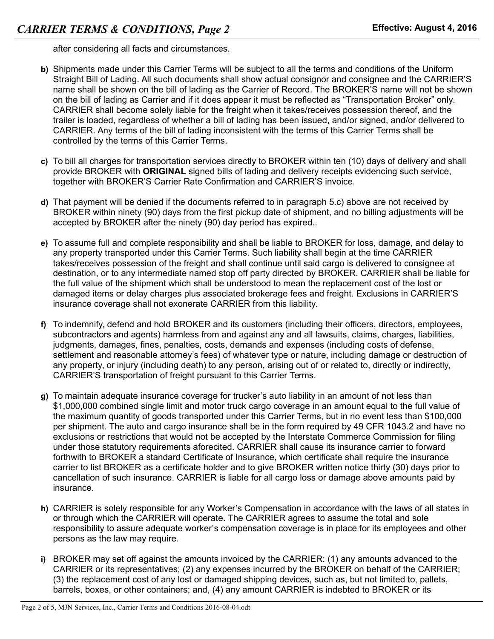after considering all facts and circumstances.

- **b)** Shipments made under this Carrier Terms will be subject to all the terms and conditions of the Uniform Straight Bill of Lading. All such documents shall show actual consignor and consignee and the CARRIER'S name shall be shown on the bill of lading as the Carrier of Record. The BROKER'S name will not be shown on the bill of lading as Carrier and if it does appear it must be reflected as "Transportation Broker" only. CARRIER shall become solely liable for the freight when it takes/receives possession thereof, and the trailer is loaded, regardless of whether a bill of lading has been issued, and/or signed, and/or delivered to CARRIER. Any terms of the bill of lading inconsistent with the terms of this Carrier Terms shall be controlled by the terms of this Carrier Terms.
- **c)** To bill all charges for transportation services directly to BROKER within ten (10) days of delivery and shall provide BROKER with **ORIGINAL** signed bills of lading and delivery receipts evidencing such service, together with BROKER'S Carrier Rate Confirmation and CARRIER'S invoice.
- **d)** That payment will be denied if the documents referred to in paragraph 5.c) above are not received by BROKER within ninety (90) days from the first pickup date of shipment, and no billing adjustments will be accepted by BROKER after the ninety (90) day period has expired..
- **e)** To assume full and complete responsibility and shall be liable to BROKER for loss, damage, and delay to any property transported under this Carrier Terms. Such liability shall begin at the time CARRIER takes/receives possession of the freight and shall continue until said cargo is delivered to consignee at destination, or to any intermediate named stop off party directed by BROKER. CARRIER shall be liable for the full value of the shipment which shall be understood to mean the replacement cost of the lost or damaged items or delay charges plus associated brokerage fees and freight. Exclusions in CARRIER'S insurance coverage shall not exonerate CARRIER from this liability.
- **f)** To indemnify, defend and hold BROKER and its customers (including their officers, directors, employees, subcontractors and agents) harmless from and against any and all lawsuits, claims, charges, liabilities, judgments, damages, fines, penalties, costs, demands and expenses (including costs of defense, settlement and reasonable attorney's fees) of whatever type or nature, including damage or destruction of any property, or injury (including death) to any person, arising out of or related to, directly or indirectly, CARRIER'S transportation of freight pursuant to this Carrier Terms.
- **g)** To maintain adequate insurance coverage for trucker's auto liability in an amount of not less than \$1,000,000 combined single limit and motor truck cargo coverage in an amount equal to the full value of the maximum quantity of goods transported under this Carrier Terms, but in no event less than \$100,000 per shipment. The auto and cargo insurance shall be in the form required by 49 CFR 1043.2 and have no exclusions or restrictions that would not be accepted by the Interstate Commerce Commission for filing under those statutory requirements aforecited. CARRIER shall cause its insurance carrier to forward forthwith to BROKER a standard Certificate of Insurance, which certificate shall require the insurance carrier to list BROKER as a certificate holder and to give BROKER written notice thirty (30) days prior to cancellation of such insurance. CARRIER is liable for all cargo loss or damage above amounts paid by insurance.
- **h)** CARRIER is solely responsible for any Worker's Compensation in accordance with the laws of all states in or through which the CARRIER will operate. The CARRIER agrees to assume the total and sole responsibility to assure adequate worker's compensation coverage is in place for its employees and other persons as the law may require.
- **i)** BROKER may set off against the amounts invoiced by the CARRIER: (1) any amounts advanced to the CARRIER or its representatives; (2) any expenses incurred by the BROKER on behalf of the CARRIER; (3) the replacement cost of any lost or damaged shipping devices, such as, but not limited to, pallets, barrels, boxes, or other containers; and, (4) any amount CARRIER is indebted to BROKER or its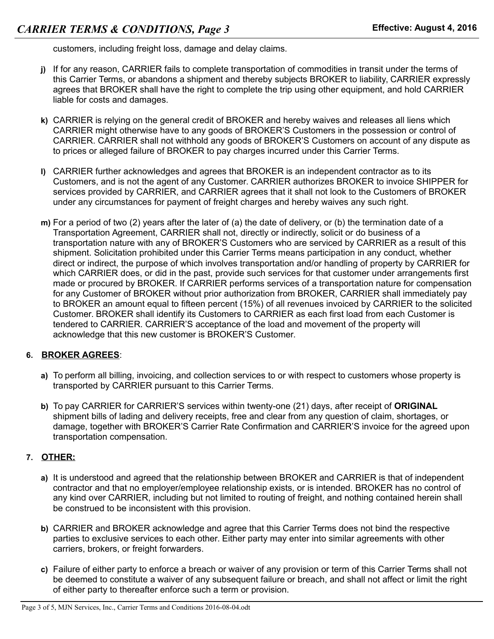customers, including freight loss, damage and delay claims.

- **j)** If for any reason, CARRIER fails to complete transportation of commodities in transit under the terms of this Carrier Terms, or abandons a shipment and thereby subjects BROKER to liability, CARRIER expressly agrees that BROKER shall have the right to complete the trip using other equipment, and hold CARRIER liable for costs and damages.
- **k)** CARRIER is relying on the general credit of BROKER and hereby waives and releases all liens which CARRIER might otherwise have to any goods of BROKER'S Customers in the possession or control of CARRIER. CARRIER shall not withhold any goods of BROKER'S Customers on account of any dispute as to prices or alleged failure of BROKER to pay charges incurred under this Carrier Terms.
- **l)** CARRIER further acknowledges and agrees that BROKER is an independent contractor as to its Customers, and is not the agent of any Customer. CARRIER authorizes BROKER to invoice SHIPPER for services provided by CARRIER, and CARRIER agrees that it shall not look to the Customers of BROKER under any circumstances for payment of freight charges and hereby waives any such right.
- **m)** For a period of two (2) years after the later of (a) the date of delivery, or (b) the termination date of a Transportation Agreement, CARRIER shall not, directly or indirectly, solicit or do business of a transportation nature with any of BROKER'S Customers who are serviced by CARRIER as a result of this shipment. Solicitation prohibited under this Carrier Terms means participation in any conduct, whether direct or indirect, the purpose of which involves transportation and/or handling of property by CARRIER for which CARRIER does, or did in the past, provide such services for that customer under arrangements first made or procured by BROKER. If CARRIER performs services of a transportation nature for compensation for any Customer of BROKER without prior authorization from BROKER, CARRIER shall immediately pay to BROKER an amount equal to fifteen percent (15%) of all revenues invoiced by CARRIER to the solicited Customer. BROKER shall identify its Customers to CARRIER as each first load from each Customer is tendered to CARRIER. CARRIER'S acceptance of the load and movement of the property will acknowledge that this new customer is BROKER'S Customer.

## **6. BROKER AGREES**:

- **a)** To perform all billing, invoicing, and collection services to or with respect to customers whose property is transported by CARRIER pursuant to this Carrier Terms.
- **b)** To pay CARRIER for CARRIER'S services within twenty-one (21) days, after receipt of **ORIGINAL** shipment bills of lading and delivery receipts, free and clear from any question of claim, shortages, or damage, together with BROKER'S Carrier Rate Confirmation and CARRIER'S invoice for the agreed upon transportation compensation.

## **7. OTHER:**

- **a)** It is understood and agreed that the relationship between BROKER and CARRIER is that of independent contractor and that no employer/employee relationship exists, or is intended. BROKER has no control of any kind over CARRIER, including but not limited to routing of freight, and nothing contained herein shall be construed to be inconsistent with this provision.
- **b)** CARRIER and BROKER acknowledge and agree that this Carrier Terms does not bind the respective parties to exclusive services to each other. Either party may enter into similar agreements with other carriers, brokers, or freight forwarders.
- **c)** Failure of either party to enforce a breach or waiver of any provision or term of this Carrier Terms shall not be deemed to constitute a waiver of any subsequent failure or breach, and shall not affect or limit the right of either party to thereafter enforce such a term or provision.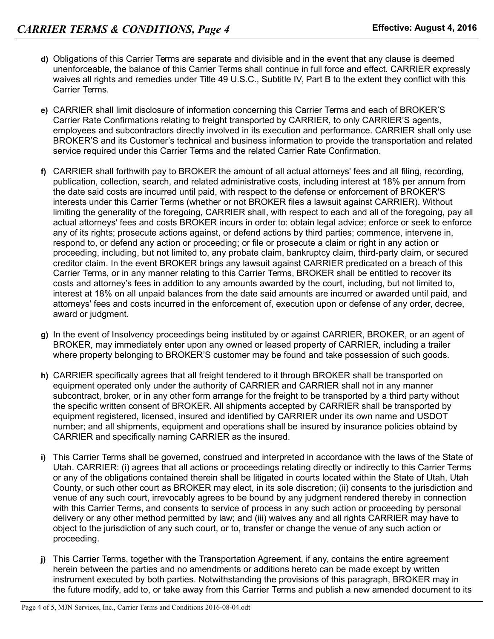- **d)** Obligations of this Carrier Terms are separate and divisible and in the event that any clause is deemed unenforceable, the balance of this Carrier Terms shall continue in full force and effect. CARRIER expressly waives all rights and remedies under Title 49 U.S.C., Subtitle IV, Part B to the extent they conflict with this Carrier Terms.
- **e)** CARRIER shall limit disclosure of information concerning this Carrier Terms and each of BROKER'S Carrier Rate Confirmations relating to freight transported by CARRIER, to only CARRIER'S agents, employees and subcontractors directly involved in its execution and performance. CARRIER shall only use BROKER'S and its Customer's technical and business information to provide the transportation and related service required under this Carrier Terms and the related Carrier Rate Confirmation.
- **f)** CARRIER shall forthwith pay to BROKER the amount of all actual attorneys' fees and all filing, recording, publication, collection, search, and related administrative costs, including interest at 18% per annum from the date said costs are incurred until paid, with respect to the defense or enforcement of BROKER'S interests under this Carrier Terms (whether or not BROKER files a lawsuit against CARRIER). Without limiting the generality of the foregoing, CARRIER shall, with respect to each and all of the foregoing, pay all actual attorneys' fees and costs BROKER incurs in order to: obtain legal advice; enforce or seek to enforce any of its rights; prosecute actions against, or defend actions by third parties; commence, intervene in, respond to, or defend any action or proceeding; or file or prosecute a claim or right in any action or proceeding, including, but not limited to, any probate claim, bankruptcy claim, third-party claim, or secured creditor claim. In the event BROKER brings any lawsuit against CARRIER predicated on a breach of this Carrier Terms, or in any manner relating to this Carrier Terms, BROKER shall be entitled to recover its costs and attorney's fees in addition to any amounts awarded by the court, including, but not limited to, interest at 18% on all unpaid balances from the date said amounts are incurred or awarded until paid, and attorneys' fees and costs incurred in the enforcement of, execution upon or defense of any order, decree, award or judgment.
- **g)** In the event of Insolvency proceedings being instituted by or against CARRIER, BROKER, or an agent of BROKER, may immediately enter upon any owned or leased property of CARRIER, including a trailer where property belonging to BROKER'S customer may be found and take possession of such goods.
- **h)** CARRIER specifically agrees that all freight tendered to it through BROKER shall be transported on equipment operated only under the authority of CARRIER and CARRIER shall not in any manner subcontract, broker, or in any other form arrange for the freight to be transported by a third party without the specific written consent of BROKER. All shipments accepted by CARRIER shall be transported by equipment registered, licensed, insured and identified by CARRIER under its own name and USDOT number; and all shipments, equipment and operations shall be insured by insurance policies obtaind by CARRIER and specifically naming CARRIER as the insured.
- **i)** This Carrier Terms shall be governed, construed and interpreted in accordance with the laws of the State of Utah. CARRIER: (i) agrees that all actions or proceedings relating directly or indirectly to this Carrier Terms or any of the obligations contained therein shall be litigated in courts located within the State of Utah, Utah County, or such other court as BROKER may elect, in its sole discretion; (ii) consents to the jurisdiction and venue of any such court, irrevocably agrees to be bound by any judgment rendered thereby in connection with this Carrier Terms, and consents to service of process in any such action or proceeding by personal delivery or any other method permitted by law; and (iii) waives any and all rights CARRIER may have to object to the jurisdiction of any such court, or to, transfer or change the venue of any such action or proceeding.
- **j)** This Carrier Terms, together with the Transportation Agreement, if any, contains the entire agreement herein between the parties and no amendments or additions hereto can be made except by written instrument executed by both parties. Notwithstanding the provisions of this paragraph, BROKER may in the future modify, add to, or take away from this Carrier Terms and publish a new amended document to its